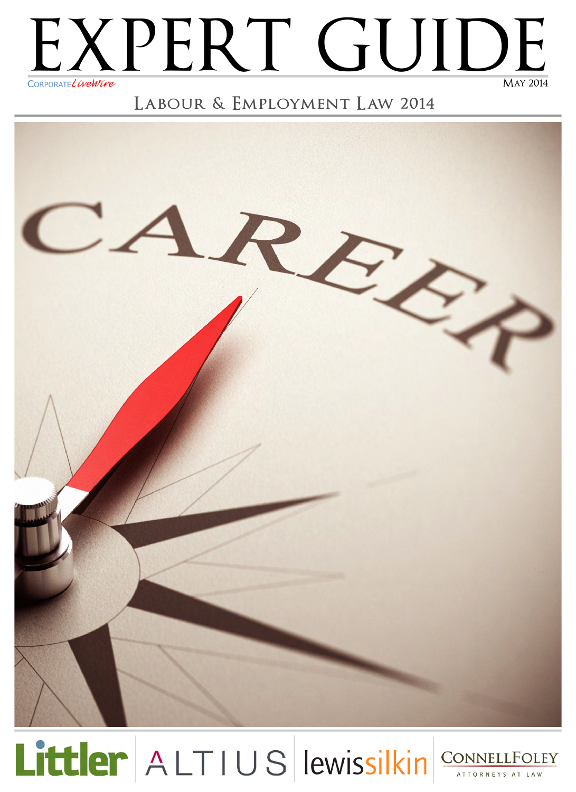

### **Labour & Employment Law 2014**



Littler ALTIUS lewissilkin CONNELLFOLEY

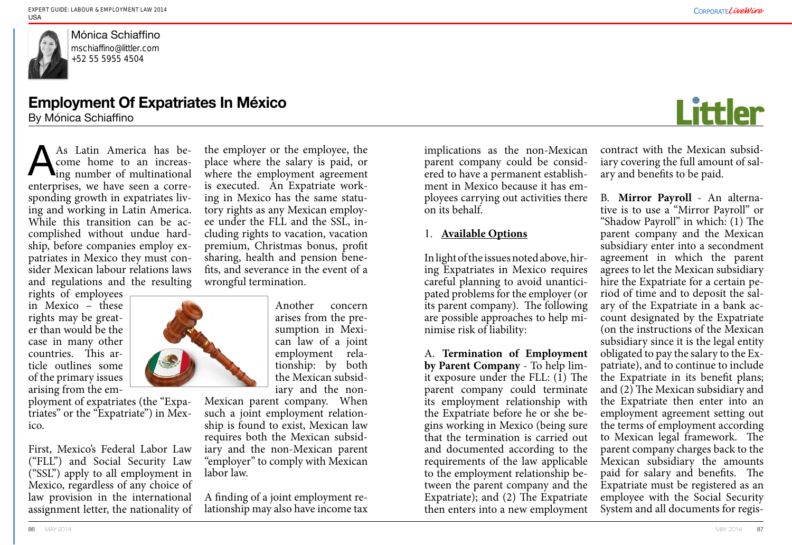implications as the non-Mexican parent company could be considered to have a permanent establishment in Mexico because it has employees carrying out activities there on its behalf.

#### 1. **Available Options**

In light of the issues noted above, hiring Expatriates in Mexico requires careful planning to avoid unanticipated problems for the employer (or its parent company). The following are possible approaches to help minimise risk of liability:

A. **Termination of Employment by Parent Company** - To help limit exposure under the FLL: (1) The parent company could terminate its employment relationship with the Expatriate before he or she begins working in Mexico (being sure that the termination is carried out and documented according to the requirements of the law applicable to the employment relationship between the parent company and the Expatriate); and (2) The Expatriate then enters into a new employment



contract with the Mexican subsidiary covering the full amount of salary and benefits to be paid.

B. **Mirror Payroll** - An alternative is to use a "Mirror Payroll" or "Shadow Payroll" in which: (1) The parent company and the Mexican subsidiary enter into a secondment agreement in which the parent agrees to let the Mexican subsidiary hire the Expatriate for a certain period of time and to deposit the salary of the Expatriate in a bank account designated by the Expatriate (on the instructions of the Mexican subsidiary since it is the legal entity obligated to pay the salary to the Expatriate), and to continue to include the Expatriate in its benefit plans; and (2) The Mexican subsidiary and the Expatriate then enter into an employment agreement setting out the terms of employment according to Mexican legal framework. The parent company charges back to the Mexican subsidiary the amounts paid for salary and benefits. The Expatriate must be registered as an employee with the Social Security System and all documents for regis-



rights of employees in Mexico – these rights may be greater than would be the case in many other countries. This article outlines some of the primary issues arising from the em-

ployment of expatriates (the "Expatriates" or the "Expatriate") in Mexico.

First, Mexico's Federal Labor Law iary and the non-Mexican parent ("FLL") and Social Security Law ("SSL") apply to all employment in Mexico, regardless of any choice of law provision in the international assignment letter, the nationality of

As Latin America has become home to an increas-**Ling number of multinational** enterprises, we have seen a corresponding growth in expatriates living and working in Latin America. While this transition can be accomplished without undue hardship, before companies employ expatriates in Mexico they must consider Mexican labour relations laws and regulations and the resulting A

Mónica Schiaffino [mschiaffino@littler.com](mailto:mschiaffino%40littler.com%20?subject=)  +52 55 5955 4504

> the employer or the employee, the place where the salary is paid, or where the employment agreement is executed. An Expatriate working in Mexico has the same statutory rights as any Mexican employee under the FLL and the SSL, including rights to vacation, vacation premium, Christmas bonus, profit sharing, health and pension benefits, and severance in the event of a wrongful termination.



Another concern arises from the presumption in Mexican law of a joint employment relationship: by both the Mexican subsidiary and the non-

Mexican parent company. When such a joint employment relationship is found to exist, Mexican law requires both the Mexican subsid-"employer" to comply with Mexican labor law.

A finding of a joint employment relationship may also have income tax

## **Employment Of Expatriates In México**

By Mónica Schiaffino